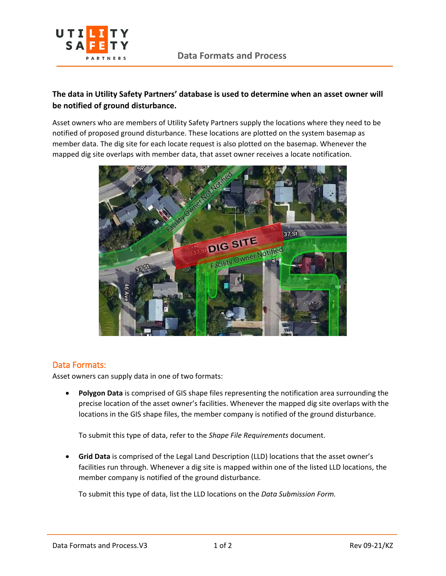

## **The data in Utility Safety Partners' database is used to determine when an asset owner will be notified of ground disturbance.**

Asset owners who are members of Utility Safety Partners supply the locations where they need to be notified of proposed ground disturbance. These locations are plotted on the system basemap as member data. The dig site for each locate request is also plotted on the basemap. Whenever the mapped dig site overlaps with member data, that asset owner receives a locate notification.



## Data Formats:

Asset owners can supply data in one of two formats:

• **Polygon Data** is comprised of GIS shape files representing the notification area surrounding the precise location of the asset owner's facilities. Whenever the mapped dig site overlaps with the locations in the GIS shape files, the member company is notified of the ground disturbance.

To submit this type of data, refer to the *Shape File Requirements* document.

• **Grid Data** is comprised of the Legal Land Description (LLD) locations that the asset owner's facilities run through. Whenever a dig site is mapped within one of the listed LLD locations, the member company is notified of the ground disturbance.

To submit this type of data, list the LLD locations on the *Data Submission Form.*